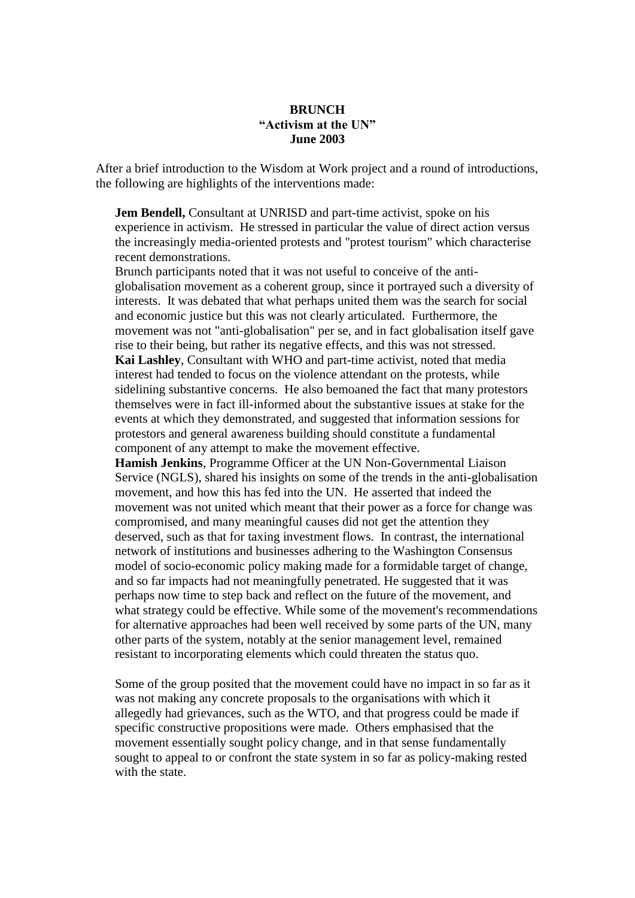## **BRUNCH "Activism at the UN" June 2003**

After a brief introduction to the Wisdom at Work project and a round of introductions, the following are highlights of the interventions made:

**Jem Bendell,** Consultant at UNRISD and part-time activist, spoke on his experience in activism. He stressed in particular the value of direct action versus the increasingly media-oriented protests and "protest tourism" which characterise recent demonstrations.

Brunch participants noted that it was not useful to conceive of the antiglobalisation movement as a coherent group, since it portrayed such a diversity of interests. It was debated that what perhaps united them was the search for social and economic justice but this was not clearly articulated. Furthermore, the movement was not "anti-globalisation" per se, and in fact globalisation itself gave rise to their being, but rather its negative effects, and this was not stressed. **Kai Lashley**, Consultant with WHO and part-time activist, noted that media interest had tended to focus on the violence attendant on the protests, while sidelining substantive concerns. He also bemoaned the fact that many protestors themselves were in fact ill-informed about the substantive issues at stake for the events at which they demonstrated, and suggested that information sessions for protestors and general awareness building should constitute a fundamental component of any attempt to make the movement effective.

**Hamish Jenkins**, Programme Officer at the UN Non-Governmental Liaison Service (NGLS), shared his insights on some of the trends in the anti-globalisation movement, and how this has fed into the UN. He asserted that indeed the movement was not united which meant that their power as a force for change was compromised, and many meaningful causes did not get the attention they deserved, such as that for taxing investment flows. In contrast, the international network of institutions and businesses adhering to the Washington Consensus model of socio-economic policy making made for a formidable target of change, and so far impacts had not meaningfully penetrated. He suggested that it was perhaps now time to step back and reflect on the future of the movement, and what strategy could be effective. While some of the movement's recommendations for alternative approaches had been well received by some parts of the UN, many other parts of the system, notably at the senior management level, remained resistant to incorporating elements which could threaten the status quo.

Some of the group posited that the movement could have no impact in so far as it was not making any concrete proposals to the organisations with which it allegedly had grievances, such as the WTO, and that progress could be made if specific constructive propositions were made. Others emphasised that the movement essentially sought policy change, and in that sense fundamentally sought to appeal to or confront the state system in so far as policy-making rested with the state.